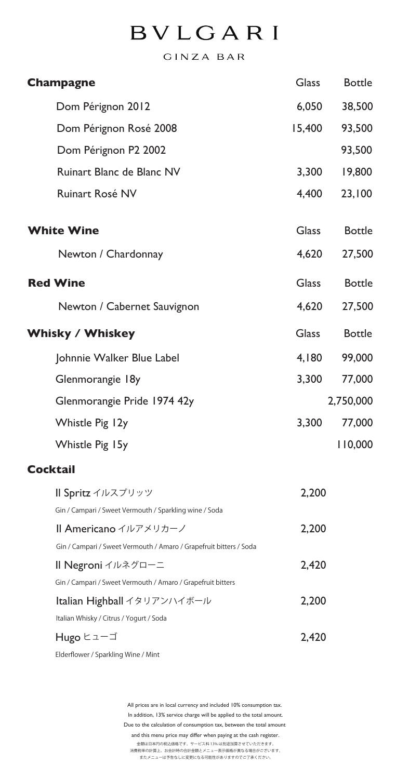## **BVLGARI**

GINZA BAR

| <b>Champagne</b>                                                   | <b>Glass</b> | <b>Bottle</b> |
|--------------------------------------------------------------------|--------------|---------------|
| Dom Pérignon 2012                                                  | 6,050        | 38,500        |
| Dom Pérignon Rosé 2008                                             | 15,400       | 93,500        |
| Dom Pérignon P2 2002                                               |              | 93,500        |
| Ruinart Blanc de Blanc NV                                          | 3,300        | 19,800        |
| Ruinart Rosé NV                                                    | 4,400        | 23,100        |
| <b>White Wine</b>                                                  | <b>Glass</b> | <b>Bottle</b> |
| Newton / Chardonnay                                                | 4,620        | 27,500        |
| <b>Red Wine</b>                                                    | <b>Glass</b> | <b>Bottle</b> |
| Newton / Cabernet Sauvignon                                        | 4,620        | 27,500        |
| <b>Whisky / Whiskey</b>                                            | <b>Glass</b> | <b>Bottle</b> |
| Johnnie Walker Blue Label                                          | 4,180        | 99,000        |
| Glenmorangie 18y                                                   | 3,300        | 77,000        |
| Glenmorangie Pride 1974 42y                                        |              | 2,750,000     |
| Whistle Pig 12y                                                    | 3,300        | 77,000        |
| Whistle Pig 15y                                                    |              | 110,000       |
| <b>Cocktail</b>                                                    |              |               |
| Il Spritz イルスプリッツ                                                  | 2,200        |               |
| Gin / Campari / Sweet Vermouth / Sparkling wine / Soda             |              |               |
| Il Americano イルアメリカーノ                                              | 2,200        |               |
| Gin / Campari / Sweet Vermouth / Amaro / Grapefruit bitters / Soda |              |               |
| Il Negroni イルネグローニ                                                 | 2,420        |               |
| Gin / Campari / Sweet Vermouth / Amaro / Grapefruit bitters        |              |               |
| Italian Highball イタリアンハイボール                                        | 2,200        |               |
| Italian Whisky / Citrus / Yogurt / Soda                            |              |               |
| Hugo ヒューゴ                                                          | 2,420        |               |

Elderflower / Sparkling Wine / Mint

All prices are in local currency and included 10% consumption tax. In addition, 13% service charge will be applied to the total amount. Due to the calculation of consumption tax, between the total amount and this menu price may differ when paying at the cash register. 金額は日本円の税込価格です。サービス料 13% は別途加算させていただきます。 消費税率の計算上、お会計時の合計金額とメニュー表示価格が異なる場合がございます。 またメニューは予告なしに変更になる可能性がありますのでご了承ください。